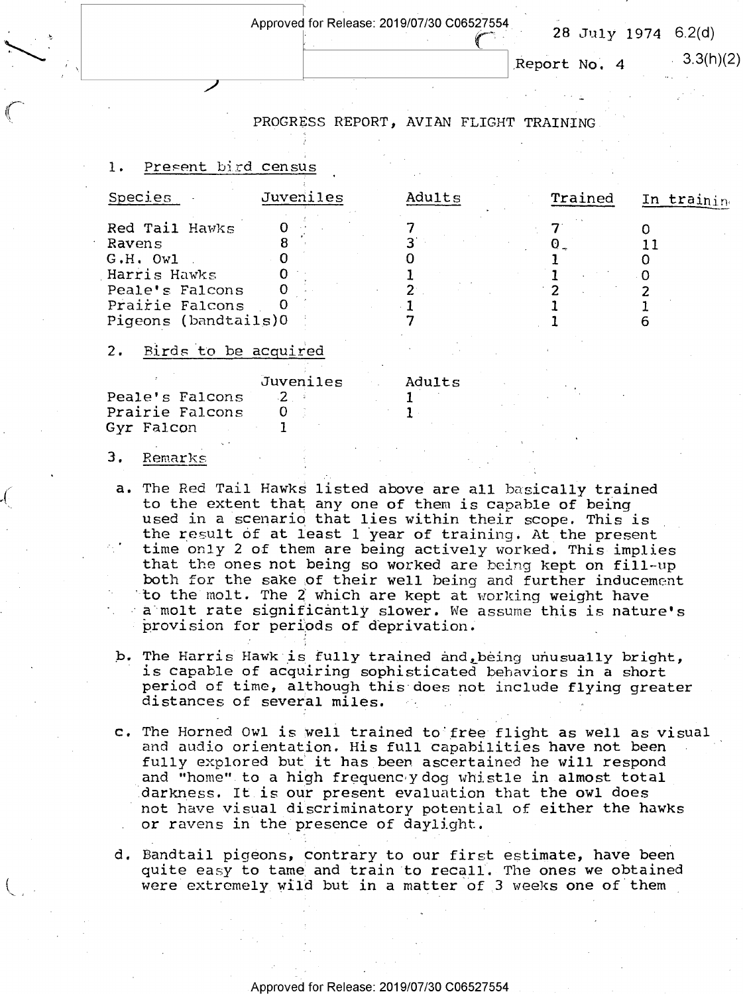$\overline{\phantom{a}}$ 

 $\begin{array}{|c|c|c|c|c|}\n\hline\n\text{Replace} & \text{28 July 1974 6.2(d)} \\
\hline\n\text{Repeat No. 4} & \text{3.3(h)}\n\end{array}$ 

 $\text{Report No. } 4$   $3.3(h)(2)$ 

"

# PROGRESS REPORT, AVIAN FLIGHT TRAINING

## 1. Present bird census

if

| Species                                                                                                              | <b>Juveniles</b>           | Adults | Trained | In training |
|----------------------------------------------------------------------------------------------------------------------|----------------------------|--------|---------|-------------|
| Red Tail Hawks<br>Ravens<br>$G.H.$ Owl<br>Harris Hawks<br>Peale's Falcons<br>Prairie Falcons<br>Pigeons (bandtails)0 |                            |        |         |             |
| Birds to be acquired<br>2.                                                                                           |                            |        |         |             |
| Peale's Falcons<br>Prairie Falcons                                                                                   | Juveniles<br>$\mathcal{P}$ | Adults |         |             |

 $\overline{\phantom{a}}$ 

## 3. Remarks

Gyr Falcon 1

 $\ddot{}$ 

- a. The Red Tail Hawks listed above are all basically trained<br>to the extent that any one of them is capable of being used in a scenario that lies within their scope. This is<br>the result of at least 1 year of training. At the present<br>time only 2 of them are being actively worked. This implies<br>that the ones not being so worked are being kep \*t0 the molt. The Z which are kept at working weight have a molt rate significantly slower. We assume this is nature's provision for periods of deprivation.
- b. The Harris Hawk is fully trained and being unusually bright, is capable of acquiring sophisticated behaviors in a short<br>period of time, although this does not include flying greater<br>distances of several miles. 0
- c. The Horned Owl is well trained to free flight as well as visual and audio orientation. His full capabilities have not been fully explored but it has been ascertained he will respond and "home" to a high frequencly dog whistle in almost total<br>darkness. It is our present evaluation that the owl does not have visual discriminatory potential of either the hawks or ravens in the presence of daylight.
- d. Bandtail pigeons, contrary to our first estimate, have been quite easy to tame and train to recall} The ones we obtained were extremely wild but in a matter of 3 weeks one of them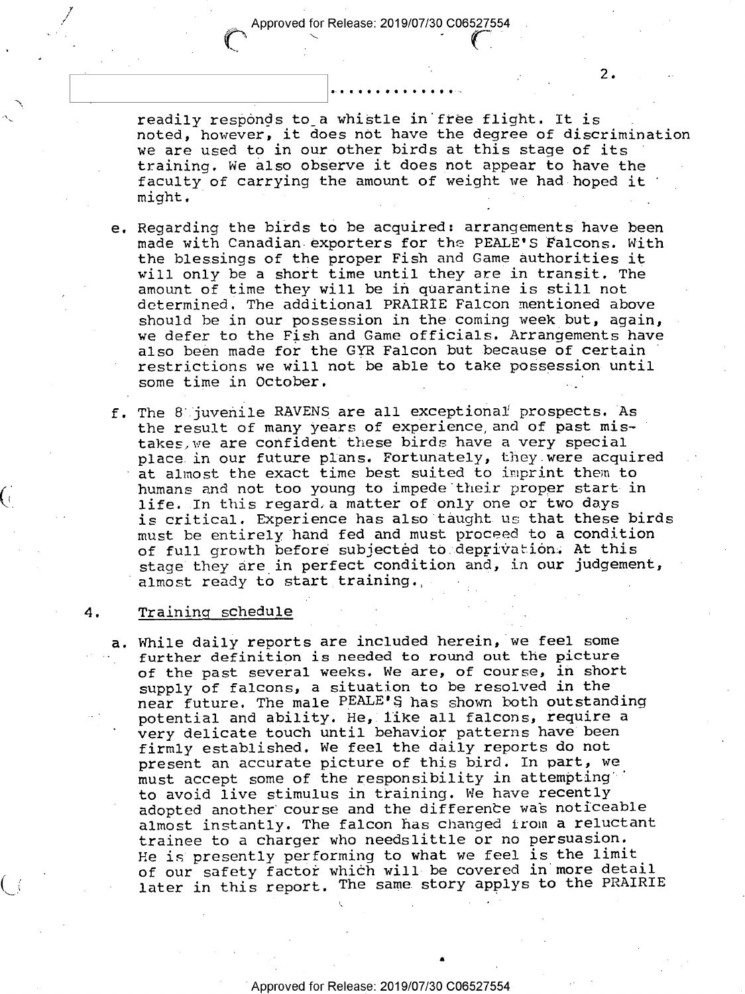readily responds to a whistle in free flight. It is noted, however, it does not have the degree of discrimination we are used to in our other birds at this stage of its training. We also observe it does not appear to have the faculty of carrying the amount of weight we had hoped it might. might. **The complete of the complete of the complete**  $\mathcal{L}$ 

2.

- e. Regarding the birds to be acquired: arrangements have been made with Canadian exporters for the PEALE'S Falcons. with the blessings of the proper Fish and Game authorities it will only be a short time until they are in transit. The amount of time they will be in quarantine is still not determined. The additional PRAIRIE Falcon mentioned above should be in our possession in the coming week but, again, we defer to the Fish and Game officials. Arrangements have also been made for the GYR Falcon but because of certain restrictions we will not be able to take possession until some time in October.
- The 8 juvenile RAVENS are all exceptional prospects. As the result of many years of experience, and of past mistakes,we are confident these birds have a very special place in our future plans. Fortunately, they were acquired at almost the exact time best suited to imprint them to humans and not too young to impede their proper start in life. In this regard.a matter of only one or two days is critical. Experience has also taught us that these birds must be entirely hand fed and must proceed to a condition of full growth before subjected to deprivation. At this stage they are in perfect condition and, in our judgement, almost ready to start training.,

#### Training schedule 4.

 $\mathcal{L}_{\mathcal{F}}$ 

 $C_{\mathbb{C}}$ 

 $\overline{\phantom{a}}$ 

 $\checkmark$ 

a. While daily reports are included herein, we feel some further definition is needed to round out the picture of the past several weeks. We are, of course, in short supply of falcons, a situation to be resolved in the near future. The male PEALE'S has shown both outstanding potential and ability. He, like all falcons, require <sup>a</sup> very delicate touch until behavior patterns have been firmly established. We feel the daily reports do not present an accurate picture of this bird. In part, we must accept some of the responsibility in attempting"' to avoid live stimulus in training. We have recently adopted another course and the difference was noticeable almost instantly. The falcon has changed from a reluctant trainee to a charger who needslittle or no persuasion. He is presently performing to what we feel is the limit of our safety factor which will be covered in more detail later in this report, The same story applys to the PRAIRIE

Approved for Release: 2019/07/30 C06527554

. .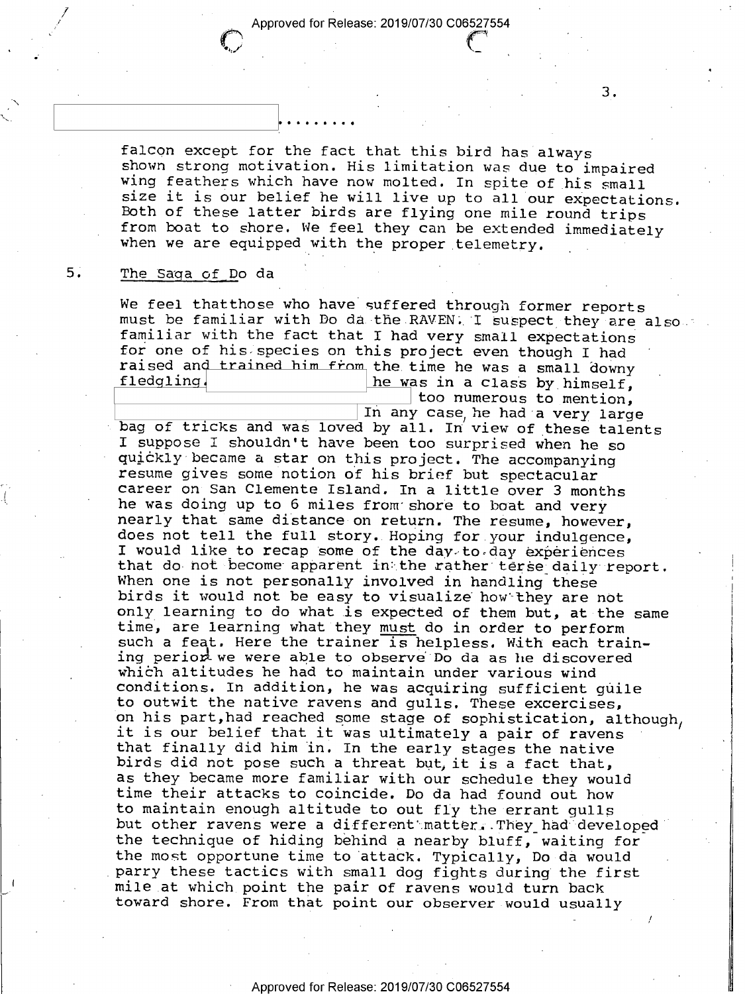$\sim$ 

falcon except for the fact that this bird has always<br>shown strong motivation. His limitation was due to impaired<br>wing feathers which have now molted. In spite of his small<br>size it is our belief he will live up to all our e

#### $5.$ The Saga of Do da

\

We feel thatthose who have suffered through former reports<br>must be familiar with Do da the RAVEN; I suspect they are also<br>familiar with the fact that I had represented in the familiar with familiar with the fact that I had very small expectations<br>for one of his species on this project even though I had raised and trained him from the time he was a small downy<br>fledgling he was in a class by himself,<br>too numerous to mention,<br>In any case he had a very large

s to mention,

bag of tricks and was loved by all. In view of these talents I suppose I shouldn't have been too surprised when he so quickly became a star on this project. The accompanying<br>resume gives some notion of his brief but spectacular<br>career on San Clemente Island. In a little over 3 months<br>he was doing up to 6 miles from shore to boat and very<br> I would like to recap some of the day to day experiences<br>that do not become apparent in the rather terse daily report.<br>When one is not personally involved in handling these<br>birds it would not be easy to visualize how they that finally did him in. In the early stages the native<br>birds did not pose such a threat but, it is a fact that,<br>as they became more familiar with our schedule they would<br>time their attacks to coincide. Do da had found out but other ravens were a different matter. They had developed the technique of hiding behind a nearby bluff, waiting for the most opportune time to attack. Typically, Do da would<br>parry these tactics with small dog fights during the first<br>mile at which point the pair of ravens would turn back<br>toward shore. From that point our observer would u only learning to do what is expected of them but, at the same on his part, had reached some stage of sophistication, although,

 $3<sub>1</sub>$ 

 $-$  /  $-$  /  $-$  /  $-$  /  $\cdot$  /  $\cdot$ 

L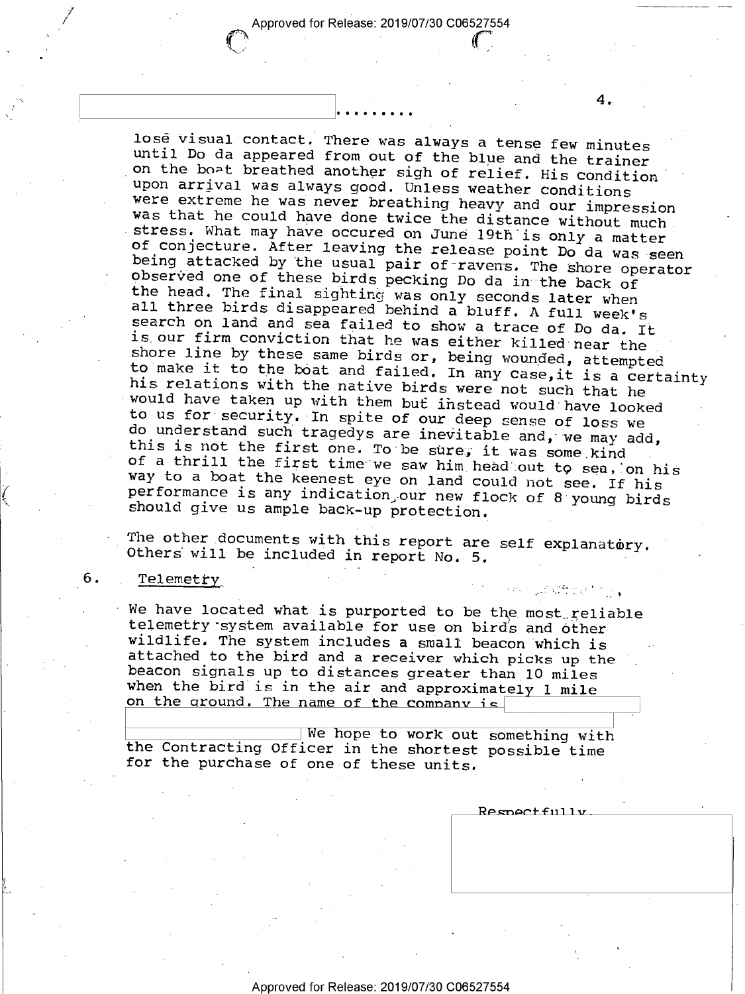$\sim$  ,  $\sim$  ,  $\sim$  ,  $\sim$  ,  $\sim$  ,  $\sim$  ,  $\sim$  ,  $\sim$  ,  $\sim$  ,  $\sim$  ,  $\sim$  ,  $\sim$  ,  $\sim$  ,  $\sim$  ,  $\sim$  ,  $\sim$ 

lose visual contact. There was always a tense few minutes<br>until Do da appeared from out of the blue and the trainer<br>on the bo-t breathed another sigh of relief. His condition<br>were extreme he was never breathing heavy and o to make it to the boat and failed. In any case, it is a certainty

The other documents with this report are self explanatory. Others will be included in report No. 5.

## Telemetry

6.

We have located what is purported to be the most reliable telemetry system available for use on birds and other wildlife. The system includes a small beacon which is attached to the bird and a receiver which picks up the b when the bird is in the air and approximately 1 mile<br>on the ground. The name of the company is

We hope to work out something with the Contracting Officer in the shortest possible time for the purchase of one of these units.

Respectfully

*រជា*លើក្នុងកំព<sub>ាក</sub>្រ

 $4\cdot$